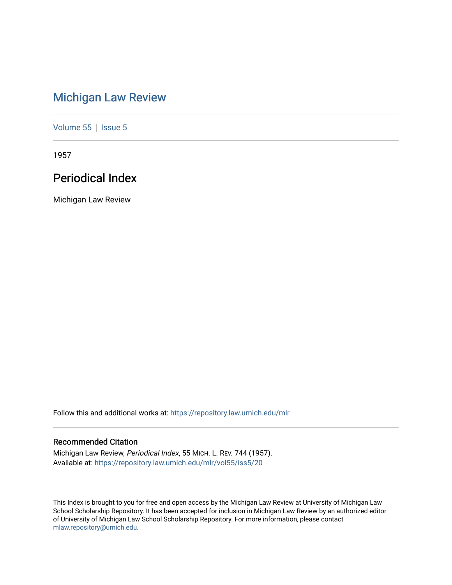# [Michigan Law Review](https://repository.law.umich.edu/mlr)

[Volume 55](https://repository.law.umich.edu/mlr/vol55) | [Issue 5](https://repository.law.umich.edu/mlr/vol55/iss5)

1957

# Periodical Index

Michigan Law Review

Follow this and additional works at: [https://repository.law.umich.edu/mlr](https://repository.law.umich.edu/mlr?utm_source=repository.law.umich.edu%2Fmlr%2Fvol55%2Fiss5%2F20&utm_medium=PDF&utm_campaign=PDFCoverPages) 

# Recommended Citation

Michigan Law Review, Periodical Index, 55 MICH. L. REV. 744 (1957). Available at: [https://repository.law.umich.edu/mlr/vol55/iss5/20](https://repository.law.umich.edu/mlr/vol55/iss5/20?utm_source=repository.law.umich.edu%2Fmlr%2Fvol55%2Fiss5%2F20&utm_medium=PDF&utm_campaign=PDFCoverPages) 

This Index is brought to you for free and open access by the Michigan Law Review at University of Michigan Law School Scholarship Repository. It has been accepted for inclusion in Michigan Law Review by an authorized editor of University of Michigan Law School Scholarship Repository. For more information, please contact [mlaw.repository@umich.edu.](mailto:mlaw.repository@umich.edu)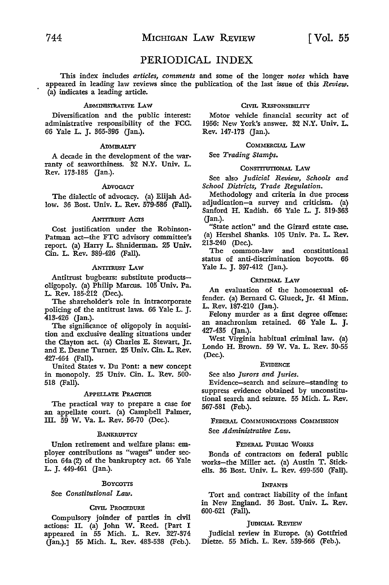# PERIODICAL INDEX

This index includes *articles, comments* and some of the longer *notes* which have appeared in leading law reviews since the publication of the last issue of this *Review.*  (a) indicates a leading article.

#### .ADMINISTRATIVE LAW

Diversification and the public interest: administrative responsibility of the FCC. 66 Yale L. J. 365-396 (Jan.).

#### **ADMIRALTY**

A decade in the development of the warranty of seaworthiness. 32 N.Y. Univ. L. Rev. 173-185 (Jan.).

#### .ADVOCACY

The dialectic of advocacy. (a) Elijah Adlow. 36 Bost. Univ. L. Rev. 579-586 (Fall).

#### .ANTrrnusr Acrs

Cost justification under the Robinson-Patman act-the FTC advisory committee's report. (a) Harry L. Shniderman. 25 Univ. Cin. L. Rev. 389-426 (Fall).

#### ANTITRUsr LAW

Antitrust bugbears: substitute productsoligopoly. (a) Philip Marcus. 105 Univ. Pa. L. Rev. 185-212 (Dec.).

The shareholder's role in intracorporate policing of the antitrust laws. 66 Yale L. J. 413-426 (Jan.).

The significance of oligopoly in acquisition and exclusive dealing situations under the Clayton act. (a) Charles E. Stewart, Jr. and E. Deane Turner. 25 Univ. Cin. L. Rev. 427-464 (Fall).

United States v. Du Pont: a new concept in monopoly. 25 Univ. Cin. L. Rev. 500- 518 (Fall).

#### .APPELLATE PRACTICE

The practical way to prepare a case for an appellate court. (a) Campbell Palmer, III. 59 W. Va. L. Rev. 56-70 (Dec.).

#### **BANKRUPTCY**

Union retirement and welfare plans: employer contributions as "wages" under section 64a (2) of the bankruptcy act. 66 Yale L. J. 449-461 (Jan.).

#### BOYCOTTS

See *Constitutional Law.* 

#### CIVIL PROCEDURE

Compulsory joinder of parties in civil actions: II. (a) John W. Reed. [Part I appeared in 55 Mich. L. Rev. 327-374 (Jan.).] 55 Mich. L. Rev. 483-538 (Feb.).

#### CIVIL RESPONSIBILITY

Motor vehicle financial security act of 1956: New York's answer. 32 N.Y. Univ. L. Rev. 147-173 (Jan.).

#### COMMERCIAL LAW

See *Trading Stamps.* 

# CONSTITUTIONAL LAW

See also *Judicial Review, Schools and School Districts, Trade Regulation .* 

Methodology and criteria in due process adjudication-a survey and criticism. (a) Sanford H. Kadish. 66 Yale L. J. 319-363 (Jan.).

"State action" and the Girard estate case. (a) Hershel Shanks. 105 Univ. Pa. L. Rev. 213-240 (Dec.).

The common-law and constitutional status of anti-discrimination boycotts. 66 Yale L. J. 397-412 (Jan.).

#### CRIMINAL LAW

An evaluation of the homosexual offender. (a) Bernard C. Glueck, Jr. 41 Minn. L. Rev. 187-210 (Jan.).

Felony murder as a first degree offense: an anachronism retained. 66 Yale L. J. 427-435 (Jan.).

West Virginia habitual criminal law. (a) Londo H. Brown. 59 W. Va. L. Rev. 30-55 (Dec.).

#### EVIDENCE

See also *Jurors and Juries.* 

Evidence-search and seizure-standing to suppress evidence obtained by unconstitutional search and seizure. 55 Mich. L. Rev. 567-581 (Feb.).

FEDERAL COMMUNICATIONS COMMISSION See *Administrative Law.* 

#### FEDERAL PUBLIC WORKS

Bonds of contractors on federal public works-the Miller act. (a) Austin T. Stickells. 36 Bost. Univ. L. Rev. 499-550 (Fall).

#### INFANTS

Tort and contract liability of the infant in New England. 36 Bost. Univ. L. Rev. 600-621 (Fall).

#### JUDICIAL REVIEW

Judicial review in Europe. (a) Gottfried Dietze. 55 Mich. L. Rev. 539-566 (Feb.).